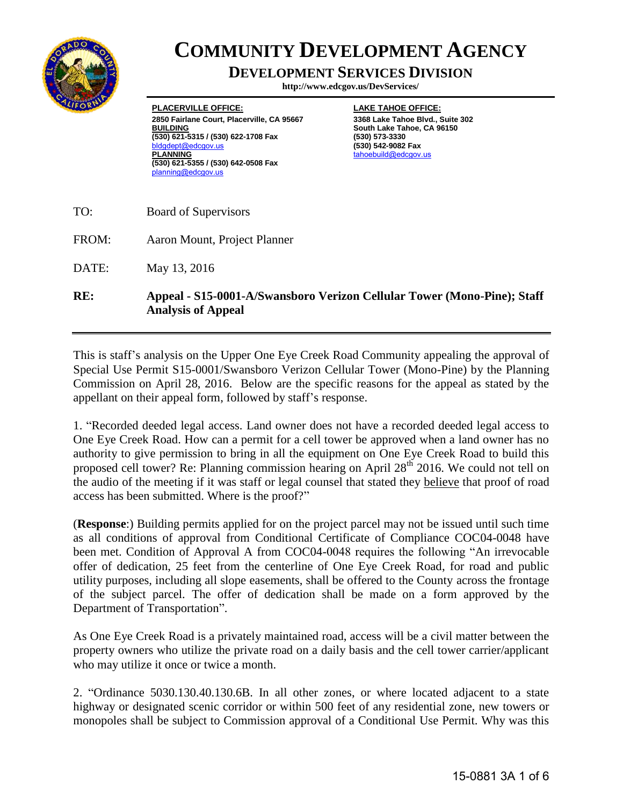

## **COMMUNITY DEVELOPMENT AGENCY**

## **DEVELOPMENT SERVICES DIVISION**

**http://www.edcgov.us/DevServices/**

**PLACERVILLE OFFICE: 2850 Fairlane Court, Placerville, CA 95667 BUILDING (530) 621-5315 / (530) 622-1708 Fax**  ot@edcgov.us **PLANNING (530) 621-5355 / (530) 642-0508 Fax** planning@edcgov.us

**LAKE TAHOE OFFICE: 3368 Lake Tahoe Blvd., Suite 302 South Lake Tahoe, CA 96150 (530) 573-3330 (530) 542-9082 Fax** tahoebuild@edcgov.us

- TO: Board of Supervisors
- FROM: Aaron Mount, Project Planner

DATE: May 13, 2016

**RE: Appeal - S15-0001-A/Swansboro Verizon Cellular Tower (Mono-Pine); Staff Analysis of Appeal** 

This is staff's analysis on the Upper One Eye Creek Road Community appealing the approval of Special Use Permit S15-0001/Swansboro Verizon Cellular Tower (Mono-Pine) by the Planning Commission on April 28, 2016. Below are the specific reasons for the appeal as stated by the appellant on their appeal form, followed by staff's response.

1. "Recorded deeded legal access. Land owner does not have a recorded deeded legal access to One Eye Creek Road. How can a permit for a cell tower be approved when a land owner has no authority to give permission to bring in all the equipment on One Eye Creek Road to build this proposed cell tower? Re: Planning commission hearing on April 28<sup>th</sup> 2016. We could not tell on the audio of the meeting if it was staff or legal counsel that stated they believe that proof of road access has been submitted. Where is the proof?"

(**Response**:) Building permits applied for on the project parcel may not be issued until such time as all conditions of approval from Conditional Certificate of Compliance COC04-0048 have been met. Condition of Approval A from COC04-0048 requires the following "An irrevocable offer of dedication, 25 feet from the centerline of One Eye Creek Road, for road and public utility purposes, including all slope easements, shall be offered to the County across the frontage of the subject parcel. The offer of dedication shall be made on a form approved by the Department of Transportation".

As One Eye Creek Road is a privately maintained road, access will be a civil matter between the property owners who utilize the private road on a daily basis and the cell tower carrier/applicant who may utilize it once or twice a month.

2. "Ordinance 5030.130.40.130.6B. In all other zones, or where located adjacent to a state highway or designated scenic corridor or within 500 feet of any residential zone, new towers or monopoles shall be subject to Commission approval of a Conditional Use Permit. Why was this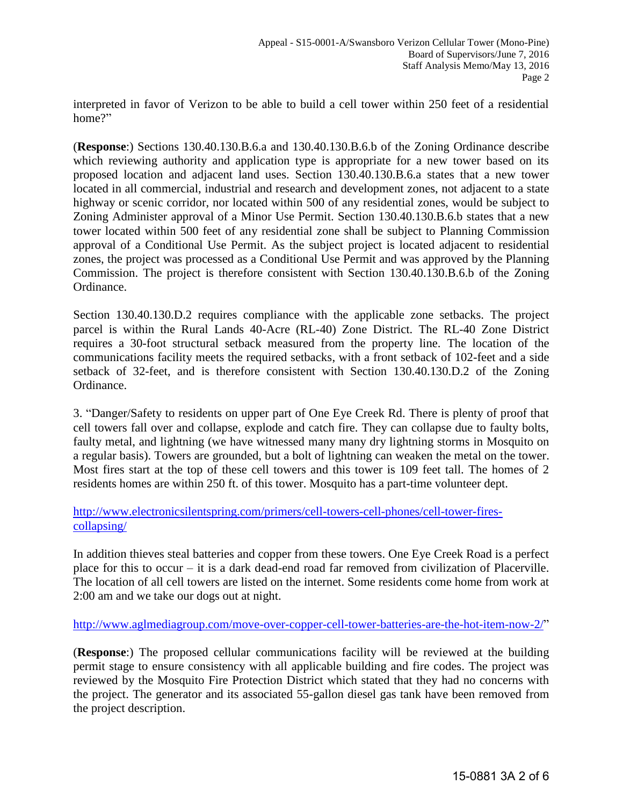interpreted in favor of Verizon to be able to build a cell tower within 250 feet of a residential home?"

(**Response**:) Sections 130.40.130.B.6.a and 130.40.130.B.6.b of the Zoning Ordinance describe which reviewing authority and application type is appropriate for a new tower based on its proposed location and adjacent land uses. Section 130.40.130.B.6.a states that a new tower located in all commercial, industrial and research and development zones, not adjacent to a state highway or scenic corridor, nor located within 500 of any residential zones, would be subject to Zoning Administer approval of a Minor Use Permit. Section 130.40.130.B.6.b states that a new tower located within 500 feet of any residential zone shall be subject to Planning Commission approval of a Conditional Use Permit. As the subject project is located adjacent to residential zones, the project was processed as a Conditional Use Permit and was approved by the Planning Commission. The project is therefore consistent with Section 130.40.130.B.6.b of the Zoning Ordinance.

Section 130.40.130.D.2 requires compliance with the applicable zone setbacks. The project parcel is within the Rural Lands 40-Acre (RL-40) Zone District. The RL-40 Zone District requires a 30-foot structural setback measured from the property line. The location of the communications facility meets the required setbacks, with a front setback of 102-feet and a side setback of 32-feet, and is therefore consistent with Section 130.40.130.D.2 of the Zoning Ordinance.

3. "Danger/Safety to residents on upper part of One Eye Creek Rd. There is plenty of proof that cell towers fall over and collapse, explode and catch fire. They can collapse due to faulty bolts, faulty metal, and lightning (we have witnessed many many dry lightning storms in Mosquito on a regular basis). Towers are grounded, but a bolt of lightning can weaken the metal on the tower. Most fires start at the top of these cell towers and this tower is 109 feet tall. The homes of 2 residents homes are within 250 ft. of this tower. Mosquito has a part-time volunteer dept.

[http://www.electronicsilentspring.com/primers/cell-towers-cell-phones/cell-tower-fires](http://www.electronicsilentspring.com/primers/cell-towers-cell-phones/cell-tower-fires-collapsing/)[collapsing/](http://www.electronicsilentspring.com/primers/cell-towers-cell-phones/cell-tower-fires-collapsing/)

In addition thieves steal batteries and copper from these towers. One Eye Creek Road is a perfect place for this to occur – it is a dark dead-end road far removed from civilization of Placerville. The location of all cell towers are listed on the internet. Some residents come home from work at 2:00 am and we take our dogs out at night.

[http://www.aglmediagroup.com/move-over-copper-cell-tower-batteries-are-the-hot-item-now-2/"](http://www.aglmediagroup.com/move-over-copper-cell-tower-batteries-are-the-hot-item-now-2/)

(**Response**:) The proposed cellular communications facility will be reviewed at the building permit stage to ensure consistency with all applicable building and fire codes. The project was reviewed by the Mosquito Fire Protection District which stated that they had no concerns with the project. The generator and its associated 55-gallon diesel gas tank have been removed from the project description.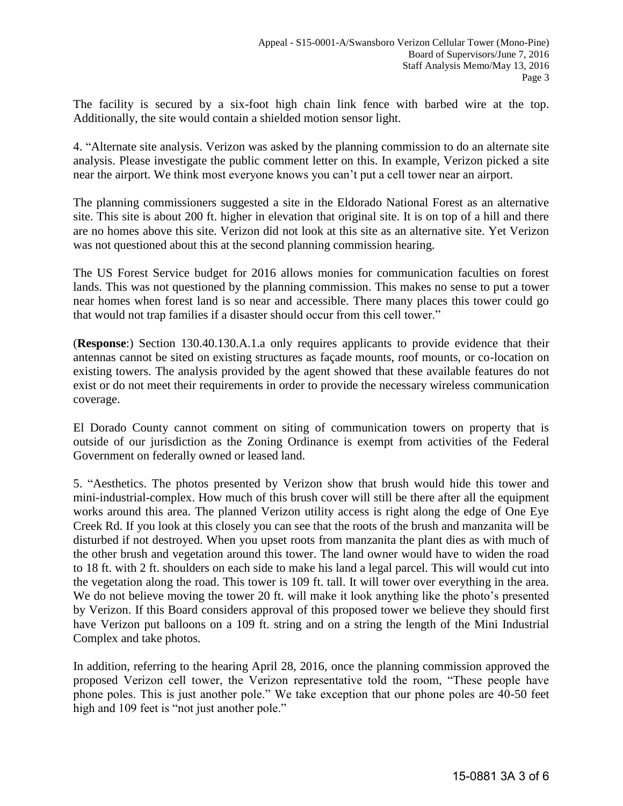The facility is secured by a six-foot high chain link fence with barbed wire at the top. Additionally, the site would contain a shielded motion sensor light.

4. "Alternate site analysis. Verizon was asked by the planning commission to do an alternate site analysis. Please investigate the public comment letter on this. In example, Verizon picked a site near the airport. We think most everyone knows you can't put a cell tower near an airport.

The planning commissioners suggested a site in the Eldorado National Forest as an alternative site. This site is about 200 ft. higher in elevation that original site. It is on top of a hill and there are no homes above this site. Verizon did not look at this site as an alternative site. Yet Verizon was not questioned about this at the second planning commission hearing.

The US Forest Service budget for 2016 allows monies for communication faculties on forest lands. This was not questioned by the planning commission. This makes no sense to put a tower near homes when forest land is so near and accessible. There many places this tower could go that would not trap families if a disaster should occur from this cell tower."

(**Response**:) Section 130.40.130.A.1.a only requires applicants to provide evidence that their antennas cannot be sited on existing structures as façade mounts, roof mounts, or co-location on existing towers. The analysis provided by the agent showed that these available features do not exist or do not meet their requirements in order to provide the necessary wireless communication coverage.

El Dorado County cannot comment on siting of communication towers on property that is outside of our jurisdiction as the Zoning Ordinance is exempt from activities of the Federal Government on federally owned or leased land.

5. "Aesthetics. The photos presented by Verizon show that brush would hide this tower and mini-industrial-complex. How much of this brush cover will still be there after all the equipment works around this area. The planned Verizon utility access is right along the edge of One Eye Creek Rd. If you look at this closely you can see that the roots of the brush and manzanita will be disturbed if not destroyed. When you upset roots from manzanita the plant dies as with much of the other brush and vegetation around this tower. The land owner would have to widen the road to 18 ft. with 2 ft. shoulders on each side to make his land a legal parcel. This will would cut into the vegetation along the road. This tower is 109 ft. tall. It will tower over everything in the area. We do not believe moving the tower 20 ft. will make it look anything like the photo's presented by Verizon. If this Board considers approval of this proposed tower we believe they should first have Verizon put balloons on a 109 ft. string and on a string the length of the Mini Industrial Complex and take photos.

In addition, referring to the hearing April 28, 2016, once the planning commission approved the proposed Verizon cell tower, the Verizon representative told the room, "These people have phone poles. This is just another pole." We take exception that our phone poles are 40-50 feet high and 109 feet is "not just another pole."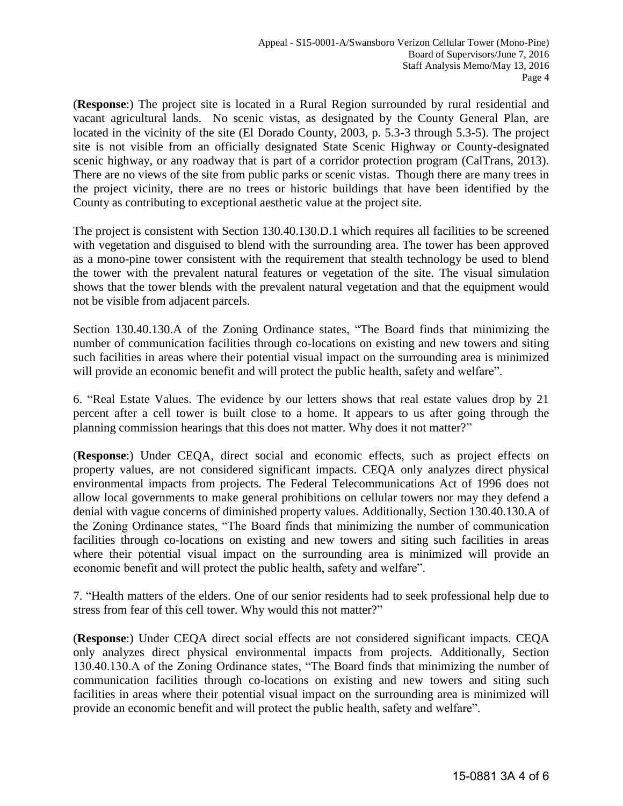(**Response**:) The project site is located in a Rural Region surrounded by rural residential and vacant agricultural lands. No scenic vistas, as designated by the County General Plan, are located in the vicinity of the site (El Dorado County, 2003, p. 5.3-3 through 5.3-5). The project site is not visible from an officially designated State Scenic Highway or County-designated scenic highway, or any roadway that is part of a corridor protection program (CalTrans, 2013). There are no views of the site from public parks or scenic vistas. Though there are many trees in the project vicinity, there are no trees or historic buildings that have been identified by the County as contributing to exceptional aesthetic value at the project site.

The project is consistent with Section 130.40.130.D.1 which requires all facilities to be screened with vegetation and disguised to blend with the surrounding area. The tower has been approved as a mono-pine tower consistent with the requirement that stealth technology be used to blend the tower with the prevalent natural features or vegetation of the site. The visual simulation shows that the tower blends with the prevalent natural vegetation and that the equipment would not be visible from adjacent parcels.

Section 130.40.130.A of the Zoning Ordinance states, "The Board finds that minimizing the number of communication facilities through co-locations on existing and new towers and siting such facilities in areas where their potential visual impact on the surrounding area is minimized will provide an economic benefit and will protect the public health, safety and welfare".

6. "Real Estate Values. The evidence by our letters shows that real estate values drop by 21 percent after a cell tower is built close to a home. It appears to us after going through the planning commission hearings that this does not matter. Why does it not matter?"

(**Response**:) Under CEQA, direct social and economic effects, such as project effects on property values, are not considered significant impacts. CEQA only analyzes direct physical environmental impacts from projects. The Federal Telecommunications Act of 1996 does not allow local governments to make general prohibitions on cellular towers nor may they defend a denial with vague concerns of diminished property values. Additionally, Section 130.40.130.A of the Zoning Ordinance states, "The Board finds that minimizing the number of communication facilities through co-locations on existing and new towers and siting such facilities in areas where their potential visual impact on the surrounding area is minimized will provide an economic benefit and will protect the public health, safety and welfare".

7. "Health matters of the elders. One of our senior residents had to seek professional help due to stress from fear of this cell tower. Why would this not matter?"

(**Response**:) Under CEQA direct social effects are not considered significant impacts. CEQA only analyzes direct physical environmental impacts from projects. Additionally, Section 130.40.130.A of the Zoning Ordinance states, "The Board finds that minimizing the number of communication facilities through co-locations on existing and new towers and siting such facilities in areas where their potential visual impact on the surrounding area is minimized will provide an economic benefit and will protect the public health, safety and welfare".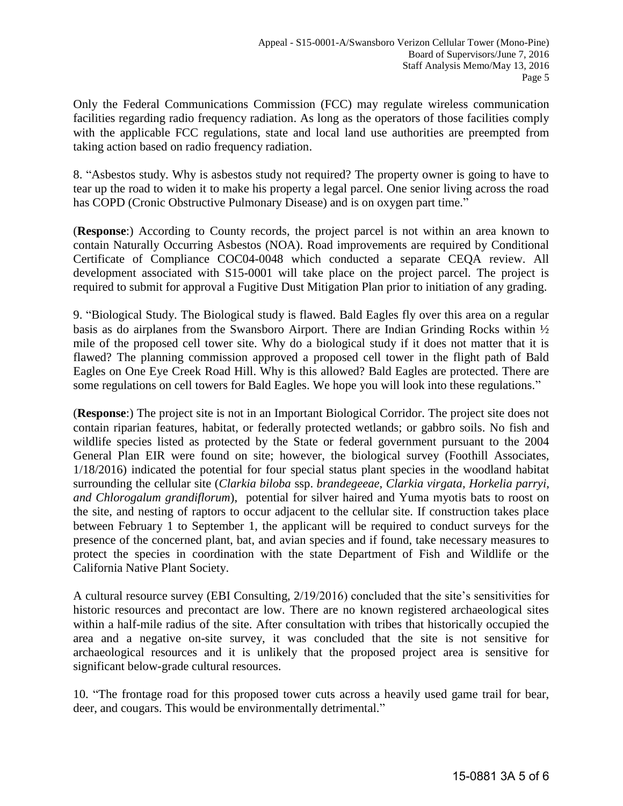Only the Federal Communications Commission (FCC) may regulate wireless communication facilities regarding radio frequency radiation. As long as the operators of those facilities comply with the applicable FCC regulations, state and local land use authorities are preempted from taking action based on radio frequency radiation.

8. "Asbestos study. Why is asbestos study not required? The property owner is going to have to tear up the road to widen it to make his property a legal parcel. One senior living across the road has COPD (Cronic Obstructive Pulmonary Disease) and is on oxygen part time."

(**Response**:) According to County records, the project parcel is not within an area known to contain Naturally Occurring Asbestos (NOA). Road improvements are required by Conditional Certificate of Compliance COC04-0048 which conducted a separate CEQA review. All development associated with S15-0001 will take place on the project parcel. The project is required to submit for approval a Fugitive Dust Mitigation Plan prior to initiation of any grading.

9. "Biological Study. The Biological study is flawed. Bald Eagles fly over this area on a regular basis as do airplanes from the Swansboro Airport. There are Indian Grinding Rocks within ½ mile of the proposed cell tower site. Why do a biological study if it does not matter that it is flawed? The planning commission approved a proposed cell tower in the flight path of Bald Eagles on One Eye Creek Road Hill. Why is this allowed? Bald Eagles are protected. There are some regulations on cell towers for Bald Eagles. We hope you will look into these regulations."

(**Response**:) The project site is not in an Important Biological Corridor. The project site does not contain riparian features, habitat, or federally protected wetlands; or gabbro soils. No fish and wildlife species listed as protected by the State or federal government pursuant to the 2004 General Plan EIR were found on site; however, the biological survey (Foothill Associates, 1/18/2016) indicated the potential for four special status plant species in the woodland habitat surrounding the cellular site (*Clarkia biloba* ssp. *brandegeeae, Clarkia virgata, Horkelia parryi, and Chlorogalum grandiflorum*), potential for silver haired and Yuma myotis bats to roost on the site, and nesting of raptors to occur adjacent to the cellular site. If construction takes place between February 1 to September 1, the applicant will be required to conduct surveys for the presence of the concerned plant, bat, and avian species and if found, take necessary measures to protect the species in coordination with the state Department of Fish and Wildlife or the California Native Plant Society.

A cultural resource survey (EBI Consulting, 2/19/2016) concluded that the site's sensitivities for historic resources and precontact are low. There are no known registered archaeological sites within a half-mile radius of the site. After consultation with tribes that historically occupied the area and a negative on-site survey, it was concluded that the site is not sensitive for archaeological resources and it is unlikely that the proposed project area is sensitive for significant below-grade cultural resources.

10. "The frontage road for this proposed tower cuts across a heavily used game trail for bear, deer, and cougars. This would be environmentally detrimental."